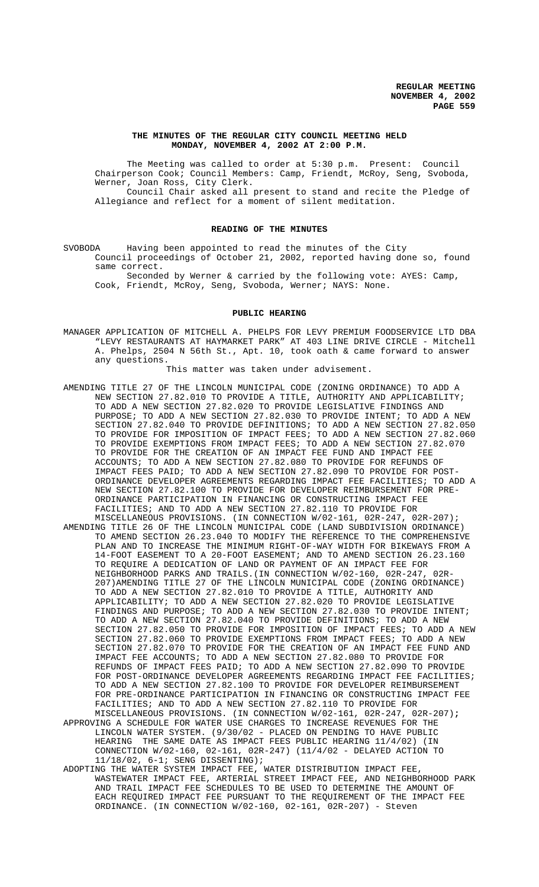#### **THE MINUTES OF THE REGULAR CITY COUNCIL MEETING HELD MONDAY, NOVEMBER 4, 2002 AT 2:00 P.M.**

The Meeting was called to order at 5:30 p.m. Present: Council Chairperson Cook; Council Members: Camp, Friendt, McRoy, Seng, Svoboda, Werner, Joan Ross, City Clerk.

Council Chair asked all present to stand and recite the Pledge of Allegiance and reflect for a moment of silent meditation.

#### **READING OF THE MINUTES**

SVOBODA Having been appointed to read the minutes of the City Council proceedings of October 21, 2002, reported having done so, found same correct.

Seconded by Werner & carried by the following vote: AYES: Camp, Cook, Friendt, McRoy, Seng, Svoboda, Werner; NAYS: None.

#### **PUBLIC HEARING**

MANAGER APPLICATION OF MITCHELL A. PHELPS FOR LEVY PREMIUM FOODSERVICE LTD DBA "LEVY RESTAURANTS AT HAYMARKET PARK" AT 403 LINE DRIVE CIRCLE - Mitchell A. Phelps, 2504 N 56th St., Apt. 10, took oath & came forward to answer any questions.

This matter was taken under advisement.

- AMENDING TITLE 27 OF THE LINCOLN MUNICIPAL CODE (ZONING ORDINANCE) TO ADD A NEW SECTION 27.82.010 TO PROVIDE A TITLE, AUTHORITY AND APPLICABILITY; TO ADD A NEW SECTION 27.82.020 TO PROVIDE LEGISLATIVE FINDINGS AND PURPOSE; TO ADD A NEW SECTION 27.82.030 TO PROVIDE INTENT; TO ADD A NEW SECTION 27.82.040 TO PROVIDE DEFINITIONS; TO ADD A NEW SECTION 27.82.050 TO PROVIDE FOR IMPOSITION OF IMPACT FEES; TO ADD A NEW SECTION 27.82.060 TO PROVIDE EXEMPTIONS FROM IMPACT FEES; TO ADD A NEW SECTION 27.82.070 TO PROVIDE FOR THE CREATION OF AN IMPACT FEE FUND AND IMPACT FEE ACCOUNTS; TO ADD A NEW SECTION 27.82.080 TO PROVIDE FOR REFUNDS OF IMPACT FEES PAID; TO ADD A NEW SECTION 27.82.090 TO PROVIDE FOR POST-ORDINANCE DEVELOPER AGREEMENTS REGARDING IMPACT FEE FACILITIES; TO ADD A NEW SECTION 27.82.100 TO PROVIDE FOR DEVELOPER REIMBURSEMENT FOR PRE-ORDINANCE PARTICIPATION IN FINANCING OR CONSTRUCTING IMPACT FEE FACILITIES; AND TO ADD A NEW SECTION 27.82.110 TO PROVIDE FOR MISCELLANEOUS PROVISIONS. (IN CONNECTION W/02-161, 02R-247, 02R-207); AMENDING TITLE 26 OF THE LINCOLN MUNICIPAL CODE (LAND SUBDIVISION ORDINANCE) TO AMEND SECTION 26.23.040 TO MODIFY THE REFERENCE TO THE COMPREHENSIVE PLAN AND TO INCREASE THE MINIMUM RIGHT-OF-WAY WIDTH FOR BIKEWAYS FROM A 14-FOOT EASEMENT TO A 20-FOOT EASEMENT; AND TO AMEND SECTION 26.23.160 TO REQUIRE A DEDICATION OF LAND OR PAYMENT OF AN IMPACT FEE FOR NEIGHBORHOOD PARKS AND TRAILS.(IN CONNECTION W/02-160, 02R-247, 02R-207)AMENDING TITLE 27 OF THE LINCOLN MUNICIPAL CODE (ZONING ORDINANCE) TO ADD A NEW SECTION 27.82.010 TO PROVIDE A TITLE, AUTHORITY AND APPLICABILITY; TO ADD A NEW SECTION 27.82.020 TO PROVIDE LEGISLATIVE FINDINGS AND PURPOSE; TO ADD A NEW SECTION 27.82.030 TO PROVIDE INTENT; TO ADD A NEW SECTION 27.82.040 TO PROVIDE DEFINITIONS; TO ADD A NEW SECTION 27.82.050 TO PROVIDE FOR IMPOSITION OF IMPACT FEES; TO ADD A NEW SECTION 27.82.060 TO PROVIDE EXEMPTIONS FROM IMPACT FEES; TO ADD A NEW SECTION 27.82.070 TO PROVIDE FOR THE CREATION OF AN IMPACT FEE FUND AND IMPACT FEE ACCOUNTS; TO ADD A NEW SECTION 27.82.080 TO PROVIDE FOR REFUNDS OF IMPACT FEES PAID; TO ADD A NEW SECTION 27.82.090 TO PROVIDE FOR POST-ORDINANCE DEVELOPER AGREEMENTS REGARDING IMPACT FEE FACILITIES; TO ADD A NEW SECTION 27.82.100 TO PROVIDE FOR DEVELOPER REIMBURSEMENT FOR PRE-ORDINANCE PARTICIPATION IN FINANCING OR CONSTRUCTING IMPACT FEE FACILITIES; AND TO ADD A NEW SECTION 27.82.110 TO PROVIDE FOR MISCELLANEOUS PROVISIONS. (IN CONNECTION W/02-161, 02R-247, 02R-207)**;**
- APPROVING A SCHEDULE FOR WATER USE CHARGES TO INCREASE REVENUES FOR THE LINCOLN WATER SYSTEM. (9/30/02 - PLACED ON PENDING TO HAVE PUBLIC HEARING THE SAME DATE AS IMPACT FEES PUBLIC HEARING 11/4/02) (IN CONNECTION W/02-160, 02-161, 02R-247) (11/4/02 - DELAYED ACTION TO 11/18/02, 6-1; SENG DISSENTING);
- ADOPTING THE WATER SYSTEM IMPACT FEE, WATER DISTRIBUTION IMPACT FEE, WASTEWATER IMPACT FEE, ARTERIAL STREET IMPACT FEE, AND NEIGHBORHOOD PARK AND TRAIL IMPACT FEE SCHEDULES TO BE USED TO DETERMINE THE AMOUNT OF EACH REQUIRED IMPACT FEE PURSUANT TO THE REQUIREMENT OF THE IMPACT FEE ORDINANCE. (IN CONNECTION W/02-160, 02-161, 02R-207) - Steven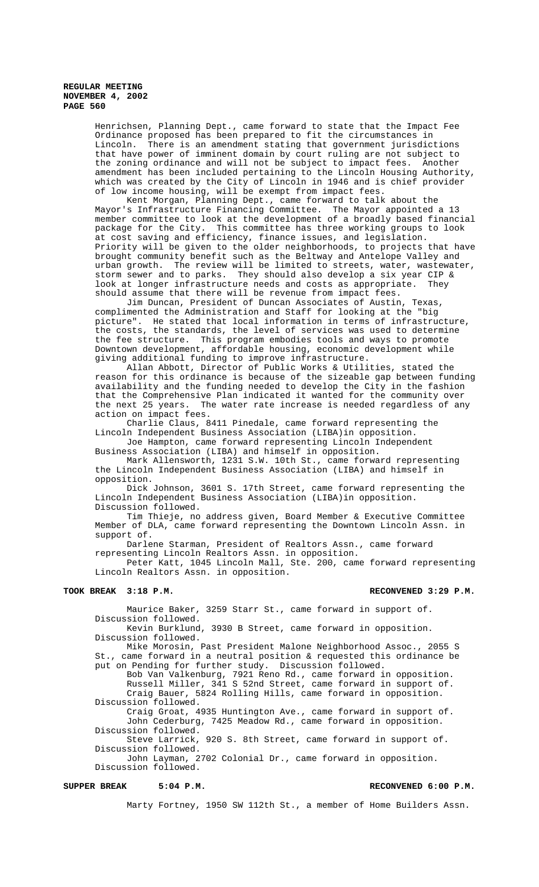Henrichsen, Planning Dept., came forward to state that the Impact Fee Ordinance proposed has been prepared to fit the circumstances in Lincoln. There is an amendment stating that government jurisdictions that have power of imminent domain by court ruling are not subject to the zoning ordinance and will not be subject to impact fees. Another amendment has been included pertaining to the Lincoln Housing Authority, which was created by the City of Lincoln in 1946 and is chief provider of low income housing, will be exempt from impact fees.

Kent Morgan, Planning Dept., came forward to talk about the Mayor's Infrastructure Financing Committee. The Mayor appointed a 13 member committee to look at the development of a broadly based financial package for the City. This committee has three working groups to look at cost saving and efficiency, finance issues, and legislation. Priority will be given to the older neighborhoods, to projects that have brought community benefit such as the Beltway and Antelope Valley and urban growth. The review will be limited to streets, water, wastewater, storm sewer and to parks. They should also develop a six year CIP & look at longer infrastructure needs and costs as appropriate. They should assume that there will be revenue from impact fees.

Jim Duncan, President of Duncan Associates of Austin, Texas, complimented the Administration and Staff for looking at the "big picture". He stated that local information in terms of infrastructure, the costs, the standards, the level of services was used to determine the fee structure. This program embodies tools and ways to promote Downtown development, affordable housing, economic development while giving additional funding to improve infrastructure.

Allan Abbott, Director of Public Works & Utilities, stated the reason for this ordinance is because of the sizeable gap between funding availability and the funding needed to develop the City in the fashion that the Comprehensive Plan indicated it wanted for the community over the next 25 years. The water rate increase is needed regardless of any action on impact fees.

Charlie Claus, 8411 Pinedale, came forward representing the Lincoln Independent Business Association (LIBA)in opposition.

Joe Hampton, came forward representing Lincoln Independent Business Association (LIBA) and himself in opposition.

Mark Allensworth, 1231 S.W. 10th St., came forward representing the Lincoln Independent Business Association (LIBA) and himself in opposition.

Dick Johnson, 3601 S. 17th Street, came forward representing the Lincoln Independent Business Association (LIBA)in opposition. Discussion followed.

Tim Thieje, no address given, Board Member & Executive Committee Member of DLA, came forward representing the Downtown Lincoln Assn. in support of.

Darlene Starman, President of Realtors Assn., came forward representing Lincoln Realtors Assn. in opposition.

Peter Katt, 1045 Lincoln Mall, Ste. 200, came forward representing Lincoln Realtors Assn. in opposition.

#### **TOOK BREAK 3:18 P.M. RECONVENED 3:29 P.M.**

Maurice Baker, 3259 Starr St., came forward in support of. Discussion followed.

Kevin Burklund, 3930 B Street, came forward in opposition. Discussion followed.

Mike Morosin, Past President Malone Neighborhood Assoc., 2055 S St., came forward in a neutral position & requested this ordinance be put on Pending for further study. Discussion followed.

Bob Van Valkenburg, 7921 Reno Rd., came forward in opposition. Russell Miller, 341 S 52nd Street, came forward in support of. Craig Bauer, 5824 Rolling Hills, came forward in opposition. Discussion followed.

Craig Groat, 4935 Huntington Ave., came forward in support of. John Cederburg, 7425 Meadow Rd., came forward in opposition. Discussion followed.

Steve Larrick, 920 S. 8th Street, came forward in support of. Discussion followed.

John Layman, 2702 Colonial Dr., came forward in opposition. Discussion followed.

#### SUPPER BREAK 5:04 P.M. **BUPPER BREAK** 5:04 P.M.

Marty Fortney, 1950 SW 112th St., a member of Home Builders Assn.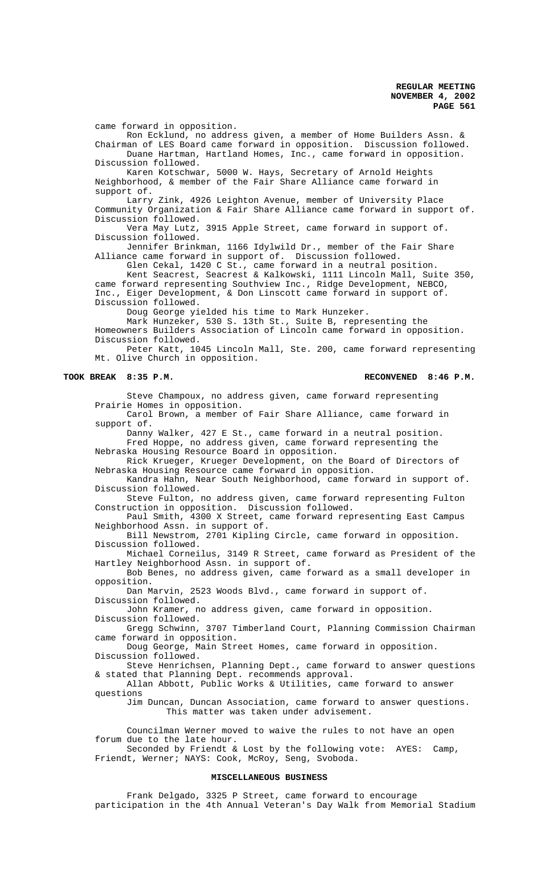came forward in opposition.

Ron Ecklund, no address given, a member of Home Builders Assn. & Chairman of LES Board came forward in opposition. Discussion followed. Duane Hartman, Hartland Homes, Inc., came forward in opposition.

Discussion followed. Karen Kotschwar, 5000 W. Hays, Secretary of Arnold Heights

Neighborhood, & member of the Fair Share Alliance came forward in support of.

Larry Zink, 4926 Leighton Avenue, member of University Place Community Organization & Fair Share Alliance came forward in support of. Discussion followed.

Vera May Lutz, 3915 Apple Street, came forward in support of. Discussion followed.

Jennifer Brinkman, 1166 Idylwild Dr., member of the Fair Share Alliance came forward in support of. Discussion followed.

Glen Cekal, 1420 C St., came forward in a neutral position. Kent Seacrest, Seacrest & Kalkowski, 1111 Lincoln Mall, Suite 350, came forward representing Southview Inc., Ridge Development, NEBCO, Inc., Eiger Development, & Don Linscott came forward in support of. Discussion followed.

Doug George yielded his time to Mark Hunzeker.

Mark Hunzeker, 530 S. 13th St., Suite B, representing the

Homeowners Builders Association of Lincoln came forward in opposition. Discussion followed.

Peter Katt, 1045 Lincoln Mall, Ste. 200, came forward representing Mt. Olive Church in opposition.

#### **TOOK BREAK 8:35 P.M. RECONVENED 8:46 P.M.**

Steve Champoux, no address given, came forward representing Prairie Homes in opposition.

Carol Brown, a member of Fair Share Alliance, came forward in support of.

Danny Walker, 427 E St., came forward in a neutral position. Fred Hoppe, no address given, came forward representing the Nebraska Housing Resource Board in opposition.

Rick Krueger, Krueger Development, on the Board of Directors of Nebraska Housing Resource came forward in opposition.

Kandra Hahn, Near South Neighborhood, came forward in support of. Discussion followed.

Steve Fulton, no address given, came forward representing Fulton Construction in opposition. Discussion followed.

Paul Smith, 4300 X Street, came forward representing East Campus Neighborhood Assn. in support of.

Bill Newstrom, 2701 Kipling Circle, came forward in opposition. Discussion followed.

Michael Corneilus, 3149 R Street, came forward as President of the Hartley Neighborhood Assn. in support of.

Bob Benes, no address given, came forward as a small developer in opposition.

Dan Marvin, 2523 Woods Blvd., came forward in support of. Discussion followed.

John Kramer, no address given, came forward in opposition. Discussion followed.

Gregg Schwinn, 3707 Timberland Court, Planning Commission Chairman came forward in opposition.

Doug George, Main Street Homes, came forward in opposition. Discussion followed.

Steve Henrichsen, Planning Dept., came forward to answer questions & stated that Planning Dept. recommends approval.

Allan Abbott, Public Works & Utilities, came forward to answer questions

Jim Duncan, Duncan Association, came forward to answer questions. This matter was taken under advisement.

Councilman Werner moved to waive the rules to not have an open forum due to the late hour.

Seconded by Friendt & Lost by the following vote: AYES: Camp, Friendt, Werner; NAYS: Cook, McRoy, Seng, Svoboda.

### **MISCELLANEOUS BUSINESS**

Frank Delgado, 3325 P Street, came forward to encourage participation in the 4th Annual Veteran's Day Walk from Memorial Stadium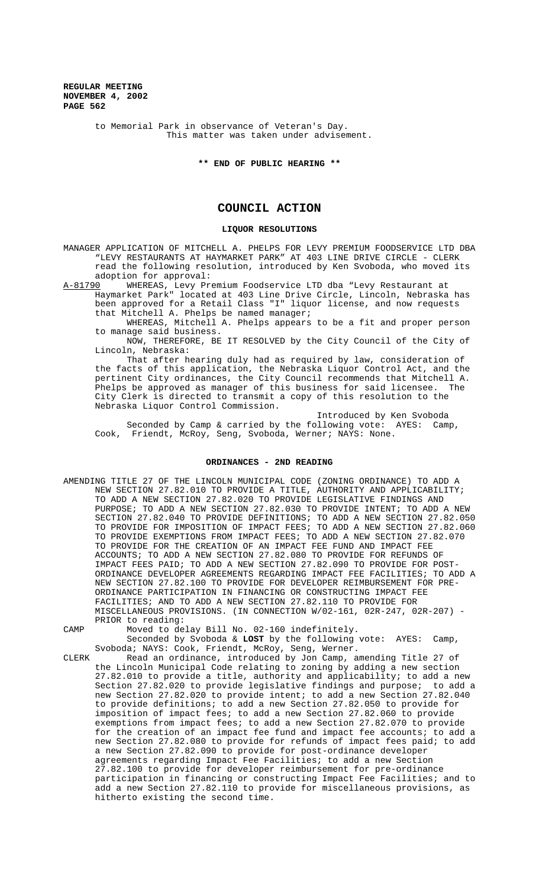to Memorial Park in observance of Veteran's Day. This matter was taken under advisement.

**\*\* END OF PUBLIC HEARING \*\***

# **COUNCIL ACTION**

#### **LIQUOR RESOLUTIONS**

MANAGER APPLICATION OF MITCHELL A. PHELPS FOR LEVY PREMIUM FOODSERVICE LTD DBA "LEVY RESTAURANTS AT HAYMARKET PARK" AT 403 LINE DRIVE CIRCLE - CLERK read the following resolution, introduced by Ken Svoboda, who moved its adoption for approval:

A-81790 WHEREAS, Levy Premium Foodservice LTD dba "Levy Restaurant at Haymarket Park" located at 403 Line Drive Circle, Lincoln, Nebraska has been approved for a Retail Class "I" liquor license, and now requests that Mitchell A. Phelps be named manager;

WHEREAS, Mitchell A. Phelps appears to be a fit and proper person to manage said business.

NOW, THEREFORE, BE IT RESOLVED by the City Council of the City of Lincoln, Nebraska:

That after hearing duly had as required by law, consideration of the facts of this application, the Nebraska Liquor Control Act, and the pertinent City ordinances, the City Council recommends that Mitchell A. Phelps be approved as manager of this business for said licensee. The City Clerk is directed to transmit a copy of this resolution to the Nebraska Liquor Control Commission.

Introduced by Ken Svoboda Seconded by Camp & carried by the following vote: AYES: Camp, Cook, Friendt, McRoy, Seng, Svoboda, Werner; NAYS: None.

#### **ORDINANCES - 2ND READING**

- AMENDING TITLE 27 OF THE LINCOLN MUNICIPAL CODE (ZONING ORDINANCE) TO ADD A NEW SECTION 27.82.010 TO PROVIDE A TITLE, AUTHORITY AND APPLICABILITY; TO ADD A NEW SECTION 27.82.020 TO PROVIDE LEGISLATIVE FINDINGS AND PURPOSE; TO ADD A NEW SECTION 27.82.030 TO PROVIDE INTENT; TO ADD A NEW SECTION 27.82.040 TO PROVIDE DEFINITIONS; TO ADD A NEW SECTION 27.82.050 TO PROVIDE FOR IMPOSITION OF IMPACT FEES; TO ADD A NEW SECTION 27.82.060 TO PROVIDE EXEMPTIONS FROM IMPACT FEES; TO ADD A NEW SECTION 27.82.070 TO PROVIDE FOR THE CREATION OF AN IMPACT FEE FUND AND IMPACT FEE ACCOUNTS; TO ADD A NEW SECTION 27.82.080 TO PROVIDE FOR REFUNDS OF IMPACT FEES PAID; TO ADD A NEW SECTION 27.82.090 TO PROVIDE FOR POST-ORDINANCE DEVELOPER AGREEMENTS REGARDING IMPACT FEE FACILITIES; TO ADD A NEW SECTION 27.82.100 TO PROVIDE FOR DEVELOPER REIMBURSEMENT FOR PRE-ORDINANCE PARTICIPATION IN FINANCING OR CONSTRUCTING IMPACT FEE FACILITIES; AND TO ADD A NEW SECTION 27.82.110 TO PROVIDE FOR MISCELLANEOUS PROVISIONS. (IN CONNECTION W/02-161, 02R-247, 02R-207) - PRIOR to reading:
- CAMP Moved to delay Bill No. 02-160 indefinitely. Seconded by Svoboda & **LOST** by the following vote: AYES: Camp,
- Svoboda; NAYS: Cook, Friendt, McRoy, Seng, Werner. CLERK Read an ordinance, introduced by Jon Camp, amending Title 27 of the Lincoln Municipal Code relating to zoning by adding a new section 27.82.010 to provide a title, authority and applicability; to add a new Section 27.82.020 to provide legislative findings and purpose; to add a new Section 27.82.020 to provide intent; to add a new Section 27.82.040 to provide definitions; to add a new Section 27.82.050 to provide for imposition of impact fees; to add a new Section 27.82.060 to provide exemptions from impact fees; to add a new Section 27.82.070 to provide for the creation of an impact fee fund and impact fee accounts; to add a new Section 27.82.080 to provide for refunds of impact fees paid; to add a new Section 27.82.090 to provide for post-ordinance developer agreements regarding Impact Fee Facilities; to add a new Section 27.82.100 to provide for developer reimbursement for pre-ordinance participation in financing or constructing Impact Fee Facilities; and to add a new Section 27.82.110 to provide for miscellaneous provisions, as hitherto existing the second time.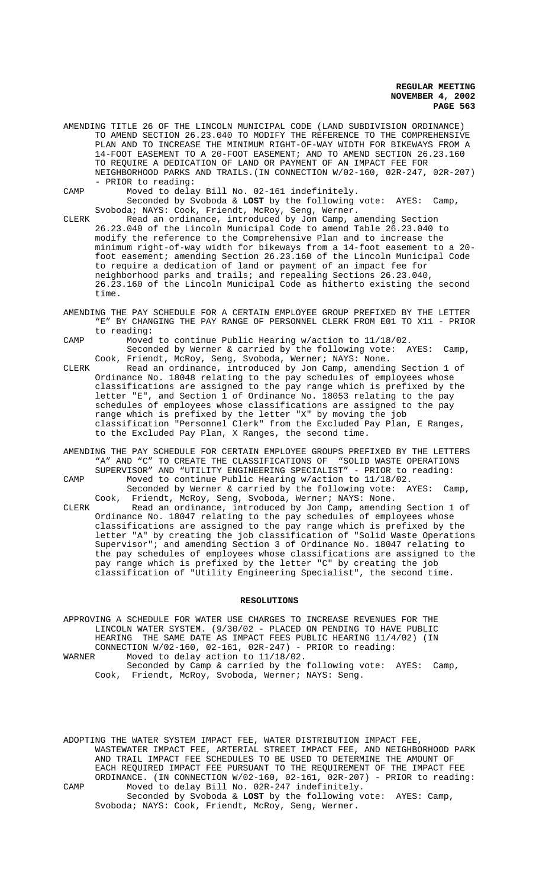- AMENDING TITLE 26 OF THE LINCOLN MUNICIPAL CODE (LAND SUBDIVISION ORDINANCE) TO AMEND SECTION 26.23.040 TO MODIFY THE REFERENCE TO THE COMPREHENSIVE PLAN AND TO INCREASE THE MINIMUM RIGHT-OF-WAY WIDTH FOR BIKEWAYS FROM A 14-FOOT EASEMENT TO A 20-FOOT EASEMENT; AND TO AMEND SECTION 26.23.160 TO REQUIRE A DEDICATION OF LAND OR PAYMENT OF AN IMPACT FEE FOR NEIGHBORHOOD PARKS AND TRAILS.(IN CONNECTION W/02-160, 02R-247, 02R-207) - PRIOR to reading:
- CAMP Moved to delay Bill No. 02-161 indefinitely.

Seconded by Svoboda & **LOST** by the following vote: AYES: Camp, Svoboda; NAYS: Cook, Friendt, McRoy, Seng, Werner.

CLERK Read an ordinance, introduced by Jon Camp, amending Section 26.23.040 of the Lincoln Municipal Code to amend Table 26.23.040 to modify the reference to the Comprehensive Plan and to increase the minimum right-of-way width for bikeways from a 14-foot easement to a 20 foot easement; amending Section 26.23.160 of the Lincoln Municipal Code to require a dedication of land or payment of an impact fee for neighborhood parks and trails; and repealing Sections 26.23.040, 26.23.160 of the Lincoln Municipal Code as hitherto existing the second time.

- AMENDING THE PAY SCHEDULE FOR A CERTAIN EMPLOYEE GROUP PREFIXED BY THE LETTER "E" BY CHANGING THE PAY RANGE OF PERSONNEL CLERK FROM E01 TO X11 - PRIOR to reading:
- CAMP Moved to continue Public Hearing w/action to 11/18/02. Seconded by Werner & carried by the following vote: AYES: Camp, Cook, Friendt, McRoy, Seng, Svoboda, Werner; NAYS: None.
- CLERK Read an ordinance, introduced by Jon Camp, amending Section 1 of Ordinance No. 18048 relating to the pay schedules of employees whose classifications are assigned to the pay range which is prefixed by the letter "E", and Section 1 of Ordinance No. 18053 relating to the pay schedules of employees whose classifications are assigned to the pay range which is prefixed by the letter "X" by moving the job classification "Personnel Clerk" from the Excluded Pay Plan, E Ranges, to the Excluded Pay Plan, X Ranges, the second time.
- AMENDING THE PAY SCHEDULE FOR CERTAIN EMPLOYEE GROUPS PREFIXED BY THE LETTERS "A" AND "C" TO CREATE THE CLASSIFICATIONS OF "SOLID WASTE OPERATIONS SUPERVISOR" AND "UTILITY ENGINEERING SPECIALIST" - PRIOR to reading:
- CAMP Moved to continue Public Hearing w/action to 11/18/02. Seconded by Werner & carried by the following vote: AYES: Camp, Cook, Friendt, McRoy, Seng, Svoboda, Werner; NAYS: None.
- CLERK Read an ordinance, introduced by Jon Camp, amending Section 1 of Ordinance No. 18047 relating to the pay schedules of employees whose classifications are assigned to the pay range which is prefixed by the letter "A" by creating the job classification of "Solid Waste Operations Supervisor"; and amending Section 3 of Ordinance No. 18047 relating to the pay schedules of employees whose classifications are assigned to the pay range which is prefixed by the letter "C" by creating the job classification of "Utility Engineering Specialist", the second time.

#### **RESOLUTIONS**

APPROVING A SCHEDULE FOR WATER USE CHARGES TO INCREASE REVENUES FOR THE LINCOLN WATER SYSTEM. (9/30/02 - PLACED ON PENDING TO HAVE PUBLIC HEARING THE SAME DATE AS IMPACT FEES PUBLIC HEARING 11/4/02) (IN CONNECTION  $W/02-160$ , 02-161, 02R-247) - PRIOR to reading:<br>WARNER Moved to delay action to  $11/18/02$ . Moved to delay action to 11/18/02. Seconded by Camp & carried by the following vote: AYES: Camp, Cook, Friendt, McRoy, Svoboda, Werner; NAYS: Seng.

ADOPTING THE WATER SYSTEM IMPACT FEE, WATER DISTRIBUTION IMPACT FEE, WASTEWATER IMPACT FEE, ARTERIAL STREET IMPACT FEE, AND NEIGHBORHOOD PARK AND TRAIL IMPACT FEE SCHEDULES TO BE USED TO DETERMINE THE AMOUNT OF EACH REQUIRED IMPACT FEE PURSUANT TO THE REQUIREMENT OF THE IMPACT FEE ORDINANCE. (IN CONNECTION W/02-160, 02-161, 02R-207) - PRIOR to reading: CAMP Moved to delay Bill No. 02R-247 indefinitely. Seconded by Svoboda & **LOST** by the following vote: AYES: Camp, Svoboda; NAYS: Cook, Friendt, McRoy, Seng, Werner.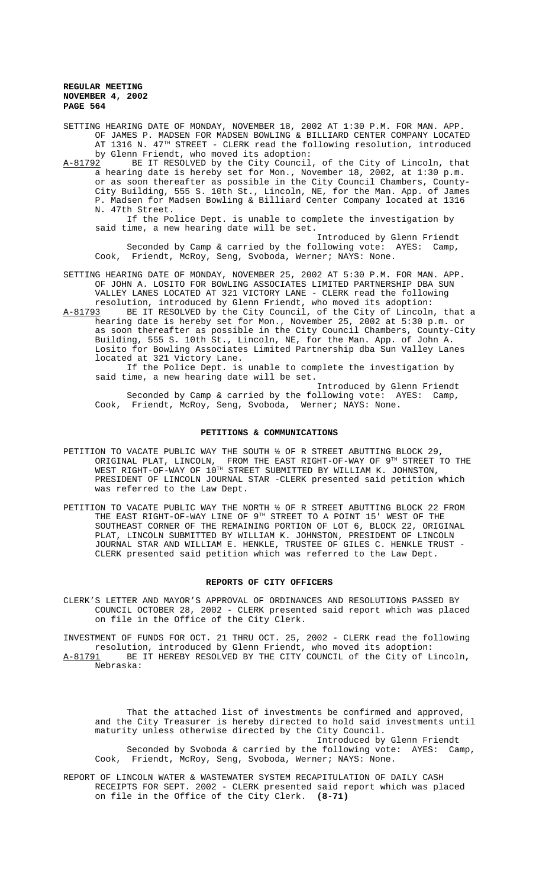SETTING HEARING DATE OF MONDAY, NOVEMBER 18, 2002 AT 1:30 P.M. FOR MAN. APP. OF JAMES P. MADSEN FOR MADSEN BOWLING & BILLIARD CENTER COMPANY LOCATED AT 1316 N. 47<sup>TH</sup> STREET - CLERK read the following resolution, introduced

by Glenn Friendt, who moved its adoption:<br>A-81792 BE IT RESOLVED by the City Council BE IT RESOLVED by the City Council, of the City of Lincoln, that a hearing date is hereby set for Mon., November 18, 2002, at 1:30 p.m. or as soon thereafter as possible in the City Council Chambers, County-City Building, 555 S. 10th St., Lincoln, NE, for the Man. App. of James P. Madsen for Madsen Bowling & Billiard Center Company located at 1316 N. 47th Street.

If the Police Dept. is unable to complete the investigation by said time, a new hearing date will be set.

Introduced by Glenn Friendt Seconded by Camp & carried by the following vote: AYES: Camp, Cook, Friendt, McRoy, Seng, Svoboda, Werner; NAYS: None.

SETTING HEARING DATE OF MONDAY, NOVEMBER 25, 2002 AT 5:30 P.M. FOR MAN. APP. OF JOHN A. LOSITO FOR BOWLING ASSOCIATES LIMITED PARTNERSHIP DBA SUN VALLEY LANES LOCATED AT 321 VICTORY LANE - CLERK read the following resolution, introduced by Glenn Friendt, who moved its adoption:

A-81793 BE IT RESOLVED by the City Council, of the City of Lincoln, that a hearing date is hereby set for Mon., November 25, 2002 at 5:30 p.m. or as soon thereafter as possible in the City Council Chambers, County-City Building, 555 S. 10th St., Lincoln, NE, for the Man. App. of John A. Losito for Bowling Associates Limited Partnership dba Sun Valley Lanes located at 321 Victory Lane.

If the Police Dept. is unable to complete the investigation by said time, a new hearing date will be set.

Introduced by Glenn Friendt Seconded by Camp & carried by the following vote: AYES: Camp, Cook, Friendt, McRoy, Seng, Svoboda, Werner; NAYS: None.

#### **PETITIONS & COMMUNICATIONS**

- PETITION TO VACATE PUBLIC WAY THE SOUTH  $\frac{1}{2}$  OF R STREET ABUTTING BLOCK 29, ORIGINAL PLAT, LINCOLN, FROM THE EAST RIGHT-OF-WAY OF  $9^{\text{TH}}$  STREET TO THE WEST RIGHT-OF-WAY OF 10TH STREET SUBMITTED BY WILLIAM K. JOHNSTON, PRESIDENT OF LINCOLN JOURNAL STAR -CLERK presented said petition which was referred to the Law Dept.
- PETITION TO VACATE PUBLIC WAY THE NORTH ½ OF R STREET ABUTTING BLOCK 22 FROM THE EAST RIGHT-OF-WAY LINE OF 9TH STREET TO A POINT 15' WEST OF THE SOUTHEAST CORNER OF THE REMAINING PORTION OF LOT 6, BLOCK 22, ORIGINAL PLAT, LINCOLN SUBMITTED BY WILLIAM K. JOHNSTON, PRESIDENT OF LINCOLN JOURNAL STAR AND WILLIAM E. HENKLE, TRUSTEE OF GILES C. HENKLE TRUST - CLERK presented said petition which was referred to the Law Dept.

#### **REPORTS OF CITY OFFICERS**

CLERK'S LETTER AND MAYOR'S APPROVAL OF ORDINANCES AND RESOLUTIONS PASSED BY COUNCIL OCTOBER 28, 2002 - CLERK presented said report which was placed on file in the Office of the City Clerk.

INVESTMENT OF FUNDS FOR OCT. 21 THRU OCT. 25, 2002 - CLERK read the following resolution, introduced by Glenn Friendt, who moved its adoption: A-81791 BE IT HEREBY RESOLVED BY THE CITY COUNCIL of the City of Lincoln, Nebraska:

That the attached list of investments be confirmed and approved, and the City Treasurer is hereby directed to hold said investments until maturity unless otherwise directed by the City Council.

Introduced by Glenn Friendt Seconded by Svoboda & carried by the following vote: AYES: Camp, Cook, Friendt, McRoy, Seng, Svoboda, Werner; NAYS: None.

REPORT OF LINCOLN WATER & WASTEWATER SYSTEM RECAPITULATION OF DAILY CASH RECEIPTS FOR SEPT. 2002 - CLERK presented said report which was placed on file in the Office of the City Clerk. **(8-71)**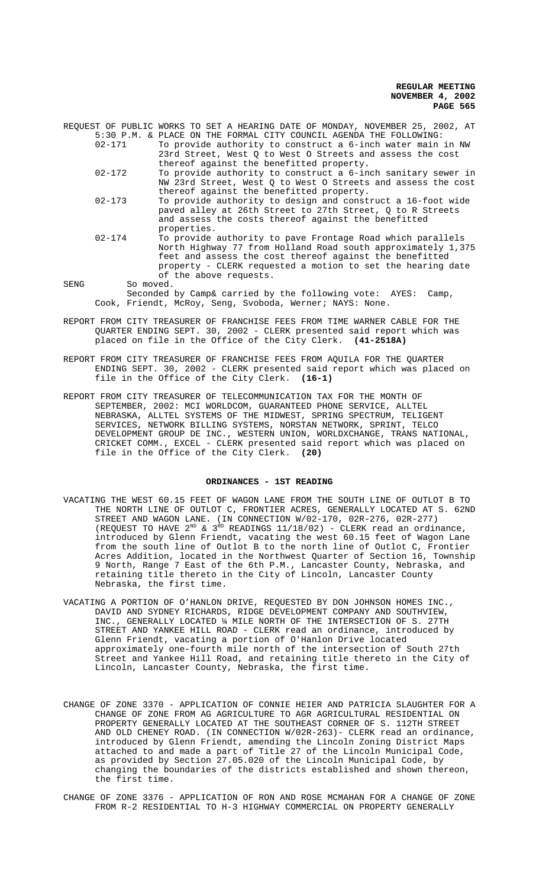| $02 - 171$ | REOUEST OF PUBLIC WORKS TO SET A HEARING DATE OF MONDAY, NOVEMBER 25, 2002, AT<br>5:30 P.M. & PLACE ON THE FORMAL CITY COUNCIL AGENDA THE FOLLOWING:<br>To provide authority to construct a 6-inch water main in NW<br>23rd Street, West 0 to West 0 Streets and assess the cost |
|------------|----------------------------------------------------------------------------------------------------------------------------------------------------------------------------------------------------------------------------------------------------------------------------------|
| $02 - 172$ | thereof against the benefitted property.<br>To provide authority to construct a 6-inch sanitary sewer in                                                                                                                                                                         |
|            | NW 23rd Street, West Q to West O Streets and assess the cost<br>thereof against the benefitted property.                                                                                                                                                                         |
| $02 - 173$ | To provide authority to design and construct a 16-foot wide<br>paved alley at 26th Street to 27th Street, Q to R Streets<br>and assess the costs thereof against the benefitted<br>properties.                                                                                   |
| $02 - 174$ | To provide authority to pave Frontage Road which parallels<br>North Highway 77 from Holland Road south approximately 1,375<br>feet and assess the cost thereof against the benefitted<br>property - CLERK requested a motion to set the hearing date<br>of the above requests.   |
| SENG       | So moved.                                                                                                                                                                                                                                                                        |
|            | Seconded by Camp& carried by the following vote: AYES:<br>Camp,                                                                                                                                                                                                                  |
|            | Cook, Friendt, McRoy, Seng, Svoboda, Werner; NAYS: None.                                                                                                                                                                                                                         |

- REPORT FROM CITY TREASURER OF FRANCHISE FEES FROM TIME WARNER CABLE FOR THE QUARTER ENDING SEPT. 30, 2002 - CLERK presented said report which was placed on file in the Office of the City Clerk. **(41-2518A)**
- REPORT FROM CITY TREASURER OF FRANCHISE FEES FROM AQUILA FOR THE QUARTER ENDING SEPT. 30, 2002 - CLERK presented said report which was placed on file in the Office of the City Clerk. **(16-1)**
- REPORT FROM CITY TREASURER OF TELECOMMUNICATION TAX FOR THE MONTH OF SEPTEMBER, 2002: MCI WORLDCOM, GUARANTEED PHONE SERVICE, ALLTEL NEBRASKA, ALLTEL SYSTEMS OF THE MIDWEST, SPRING SPECTRUM, TELIGENT SERVICES, NETWORK BILLING SYSTEMS, NORSTAN NETWORK, SPRINT, TELCO DEVELOPMENT GROUP DE INC., WESTERN UNION, WORLDXCHANGE, TRANS NATIONAL, CRICKET COMM., EXCEL - CLERK presented said report which was placed on file in the Office of the City Clerk. **(20)**

#### **ORDINANCES - 1ST READING**

- VACATING THE WEST 60.15 FEET OF WAGON LANE FROM THE SOUTH LINE OF OUTLOT B TO THE NORTH LINE OF OUTLOT C, FRONTIER ACRES, GENERALLY LOCATED AT S. 62ND STREET AND WAGON LANE. (IN CONNECTION W/02-170, 02R-276, 02R-277) (REQUEST TO HAVE  $2^{ND}$  &  $3^{RD}$  READINGS  $11/18/02$ ) - CLERK read an ordinance, introduced by Glenn Friendt, vacating the west 60.15 feet of Wagon Lane from the south line of Outlot B to the north line of Outlot C, Frontier Acres Addition, located in the Northwest Quarter of Section 16, Township 9 North, Range 7 East of the 6th P.M., Lancaster County, Nebraska, and retaining title thereto in the City of Lincoln, Lancaster County Nebraska, the first time.
- VACATING A PORTION OF O'HANLON DRIVE, REQUESTED BY DON JOHNSON HOMES INC., DAVID AND SYDNEY RICHARDS, RIDGE DEVELOPMENT COMPANY AND SOUTHVIEW, INC., GENERALLY LOCATED ¼ MILE NORTH OF THE INTERSECTION OF S. 27TH STREET AND YANKEE HILL ROAD - CLERK read an ordinance, introduced by Glenn Friendt, vacating a portion of O'Hanlon Drive located approximately one-fourth mile north of the intersection of South 27th Street and Yankee Hill Road, and retaining title thereto in the City of Lincoln, Lancaster County, Nebraska, the first time.
- CHANGE OF ZONE 3370 APPLICATION OF CONNIE HEIER AND PATRICIA SLAUGHTER FOR A CHANGE OF ZONE FROM AG AGRICULTURE TO AGR AGRICULTURAL RESIDENTIAL ON PROPERTY GENERALLY LOCATED AT THE SOUTHEAST CORNER OF S. 112TH STREET AND OLD CHENEY ROAD. (IN CONNECTION W/02R-263)- CLERK read an ordinance, introduced by Glenn Friendt, amending the Lincoln Zoning District Maps attached to and made a part of Title 27 of the Lincoln Municipal Code, as provided by Section 27.05.020 of the Lincoln Municipal Code, by changing the boundaries of the districts established and shown thereon, the first time.
- CHANGE OF ZONE 3376 APPLICATION OF RON AND ROSE MCMAHAN FOR A CHANGE OF ZONE FROM R-2 RESIDENTIAL TO H-3 HIGHWAY COMMERCIAL ON PROPERTY GENERALLY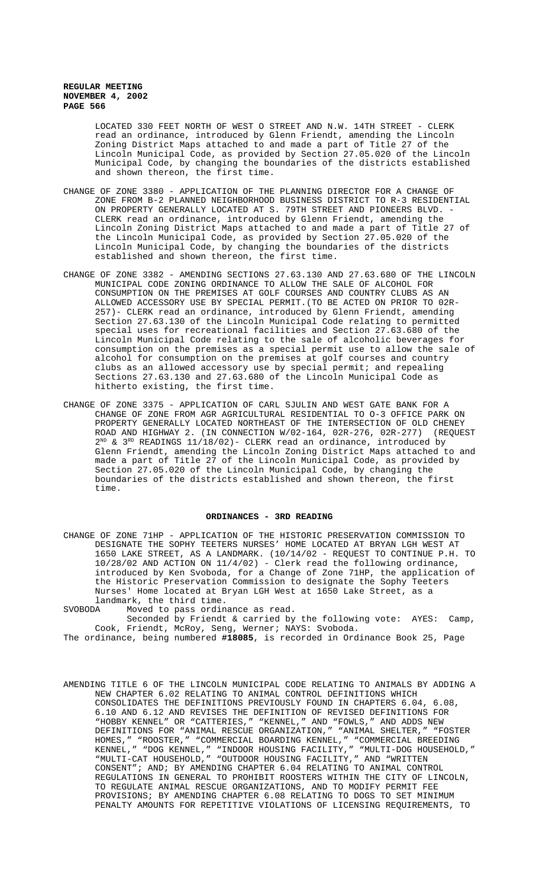LOCATED 330 FEET NORTH OF WEST O STREET AND N.W. 14TH STREET - CLERK read an ordinance, introduced by Glenn Friendt, amending the Lincoln Zoning District Maps attached to and made a part of Title 27 of the Lincoln Municipal Code, as provided by Section 27.05.020 of the Lincoln Municipal Code, by changing the boundaries of the districts established and shown thereon, the first time.

- CHANGE OF ZONE 3380 APPLICATION OF THE PLANNING DIRECTOR FOR A CHANGE OF ZONE FROM B-2 PLANNED NEIGHBORHOOD BUSINESS DISTRICT TO R-3 RESIDENTIAL ON PROPERTY GENERALLY LOCATED AT S. 79TH STREET AND PIONEERS BLVD. -CLERK read an ordinance, introduced by Glenn Friendt, amending the Lincoln Zoning District Maps attached to and made a part of Title 27 of the Lincoln Municipal Code, as provided by Section 27.05.020 of the Lincoln Municipal Code, by changing the boundaries of the districts established and shown thereon, the first time.
- CHANGE OF ZONE 3382 AMENDING SECTIONS 27.63.130 AND 27.63.680 OF THE LINCOLN MUNICIPAL CODE ZONING ORDINANCE TO ALLOW THE SALE OF ALCOHOL FOR CONSUMPTION ON THE PREMISES AT GOLF COURSES AND COUNTRY CLUBS AS AN ALLOWED ACCESSORY USE BY SPECIAL PERMIT.(TO BE ACTED ON PRIOR TO 02R-257)- CLERK read an ordinance, introduced by Glenn Friendt, amending Section 27.63.130 of the Lincoln Municipal Code relating to permitted special uses for recreational facilities and Section 27.63.680 of the Lincoln Municipal Code relating to the sale of alcoholic beverages for consumption on the premises as a special permit use to allow the sale of alcohol for consumption on the premises at golf courses and country clubs as an allowed accessory use by special permit; and repealing Sections 27.63.130 and 27.63.680 of the Lincoln Municipal Code as hitherto existing, the first time.
- CHANGE OF ZONE 3375 APPLICATION OF CARL SJULIN AND WEST GATE BANK FOR A CHANGE OF ZONE FROM AGR AGRICULTURAL RESIDENTIAL TO O-3 OFFICE PARK ON PROPERTY GENERALLY LOCATED NORTHEAST OF THE INTERSECTION OF OLD CHENEY ROAD AND HIGHWAY 2. (IN CONNECTION W/02-164, 02R-276, 02R-277) (REQUEST  $2^{ND}$  &  $3^{RD}$  READINGS 11/18/02)- CLERK read an ordinance, introduced by Glenn Friendt, amending the Lincoln Zoning District Maps attached to and made a part of Title 27 of the Lincoln Municipal Code, as provided by Section 27.05.020 of the Lincoln Municipal Code, by changing the boundaries of the districts established and shown thereon, the first time.

#### **ORDINANCES - 3RD READING**

CHANGE OF ZONE 71HP - APPLICATION OF THE HISTORIC PRESERVATION COMMISSION TO DESIGNATE THE SOPHY TEETERS NURSES' HOME LOCATED AT BRYAN LGH WEST AT 1650 LAKE STREET, AS A LANDMARK. (10/14/02 - REQUEST TO CONTINUE P.H. TO  $10/28/02$  AND ACTION ON  $11/4/02$ ) - Clerk read the following ordinance, introduced by Ken Svoboda, for a Change of Zone 71HP, the application of the Historic Preservation Commission to designate the Sophy Teeters Nurses' Home located at Bryan LGH West at 1650 Lake Street, as a landmark, the third time.<br>SVOBODA Moved to pass ordin

Moved to pass ordinance as read.

Seconded by Friendt & carried by the following vote: AYES: Camp, Cook, Friendt, McRoy, Seng, Werner; NAYS: Svoboda.

The ordinance, being numbered **#18085**, is recorded in Ordinance Book 25, Page

AMENDING TITLE 6 OF THE LINCOLN MUNICIPAL CODE RELATING TO ANIMALS BY ADDING A NEW CHAPTER 6.02 RELATING TO ANIMAL CONTROL DEFINITIONS WHICH CONSOLIDATES THE DEFINITIONS PREVIOUSLY FOUND IN CHAPTERS 6.04, 6.08, 6.10 AND 6.12 AND REVISES THE DEFINITION OF REVISED DEFINITIONS FOR "HOBBY KENNEL" OR "CATTERIES," "KENNEL," AND "FOWLS," AND ADDS NEW DEFINITIONS FOR "ANIMAL RESCUE ORGANIZATION," "ANIMAL SHELTER," "FOSTER HOMES," "ROOSTER," "COMMERCIAL BOARDING KENNEL," "COMMERCIAL BREEDING KENNEL," "DOG KENNEL," "INDOOR HOUSING FACILITY," "MULTI-DOG HOUSEHOLD," "MULTI-CAT HOUSEHOLD," "OUTDOOR HOUSING FACILITY," AND "WRITTEN CONSENT"; AND; BY AMENDING CHAPTER 6.04 RELATING TO ANIMAL CONTROL REGULATIONS IN GENERAL TO PROHIBIT ROOSTERS WITHIN THE CITY OF LINCOLN, TO REGULATE ANIMAL RESCUE ORGANIZATIONS, AND TO MODIFY PERMIT FEE PROVISIONS; BY AMENDING CHAPTER 6.08 RELATING TO DOGS TO SET MINIMUM PENALTY AMOUNTS FOR REPETITIVE VIOLATIONS OF LICENSING REQUIREMENTS, TO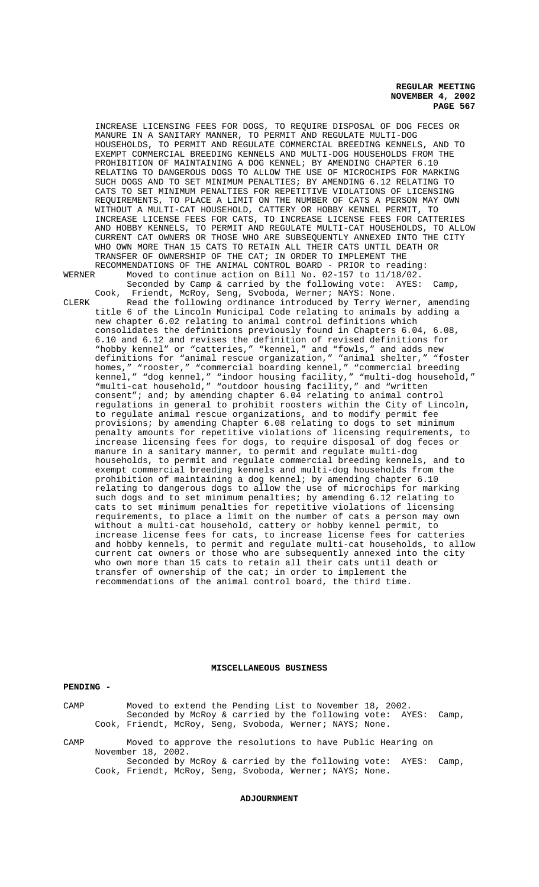INCREASE LICENSING FEES FOR DOGS, TO REQUIRE DISPOSAL OF DOG FECES OR MANURE IN A SANITARY MANNER, TO PERMIT AND REGULATE MULTI-DOG HOUSEHOLDS, TO PERMIT AND REGULATE COMMERCIAL BREEDING KENNELS, AND TO EXEMPT COMMERCIAL BREEDING KENNELS AND MULTI-DOG HOUSEHOLDS FROM THE PROHIBITION OF MAINTAINING A DOG KENNEL; BY AMENDING CHAPTER 6.10 RELATING TO DANGEROUS DOGS TO ALLOW THE USE OF MICROCHIPS FOR MARKING SUCH DOGS AND TO SET MINIMUM PENALTIES; BY AMENDING 6.12 RELATING TO CATS TO SET MINIMUM PENALTIES FOR REPETITIVE VIOLATIONS OF LICENSING REQUIREMENTS, TO PLACE A LIMIT ON THE NUMBER OF CATS A PERSON MAY OWN WITHOUT A MULTI-CAT HOUSEHOLD, CATTERY OR HOBBY KENNEL PERMIT, TO INCREASE LICENSE FEES FOR CATS, TO INCREASE LICENSE FEES FOR CATTERIES AND HOBBY KENNELS, TO PERMIT AND REGULATE MULTI-CAT HOUSEHOLDS, TO ALLOW CURRENT CAT OWNERS OR THOSE WHO ARE SUBSEQUENTLY ANNEXED INTO THE CITY WHO OWN MORE THAN 15 CATS TO RETAIN ALL THEIR CATS UNTIL DEATH OR TRANSFER OF OWNERSHIP OF THE CAT; IN ORDER TO IMPLEMENT THE RECOMMENDATIONS OF THE ANIMAL CONTROL BOARD - PRIOR to reading: WERNER Moved to continue action on Bill No. 02-157 to 11/18/02. Seconded by Camp & carried by the following vote: AYES: Camp, Cook, Friendt, McRoy, Seng, Svoboda, Werner; NAYS: None. CLERK Read the following ordinance introduced by Terry Werner, amending title 6 of the Lincoln Municipal Code relating to animals by adding a new chapter 6.02 relating to animal control definitions which consolidates the definitions previously found in Chapters 6.04, 6.08, 6.10 and 6.12 and revises the definition of revised definitions for "hobby kennel" or "catteries," "kennel," and "fowls," and adds new definitions for "animal rescue organization," "animal shelter," "foster homes," "rooster," "commercial boarding kennel," "commercial breeding kennel," "dog kennel," "indoor housing facility," "multi-dog household," "multi-cat household," "outdoor housing facility," and "written consent"; and; by amending chapter 6.04 relating to animal control regulations in general to prohibit roosters within the City of Lincoln, to regulate animal rescue organizations, and to modify permit fee provisions; by amending Chapter 6.08 relating to dogs to set minimum penalty amounts for repetitive violations of licensing requirements, to increase licensing fees for dogs, to require disposal of dog feces or manure in a sanitary manner, to permit and regulate multi-dog households, to permit and regulate commercial breeding kennels, and to exempt commercial breeding kennels and multi-dog households from the prohibition of maintaining a dog kennel; by amending chapter 6.10 relating to dangerous dogs to allow the use of microchips for marking such dogs and to set minimum penalties; by amending 6.12 relating to cats to set minimum penalties for repetitive violations of licensing requirements, to place a limit on the number of cats a person may own without a multi-cat household, cattery or hobby kennel permit, to increase license fees for cats, to increase license fees for catteries and hobby kennels, to permit and regulate multi-cat households, to allow current cat owners or those who are subsequently annexed into the city who own more than 15 cats to retain all their cats until death or transfer of ownership of the cat; in order to implement the recommendations of the animal control board, the third time.

### **MISCELLANEOUS BUSINESS**

**PENDING -** 

# CAMP Moved to extend the Pending List to November 18, 2002. Seconded by McRoy & carried by the following vote: AYES: Camp, Cook, Friendt, McRoy, Seng, Svoboda, Werner; NAYS; None. CAMP Moved to approve the resolutions to have Public Hearing on November 18, 2002. Seconded by McRoy & carried by the following vote: AYES: Camp, Cook, Friendt, McRoy, Seng, Svoboda, Werner; NAYS; None.

#### **ADJOURNMENT**